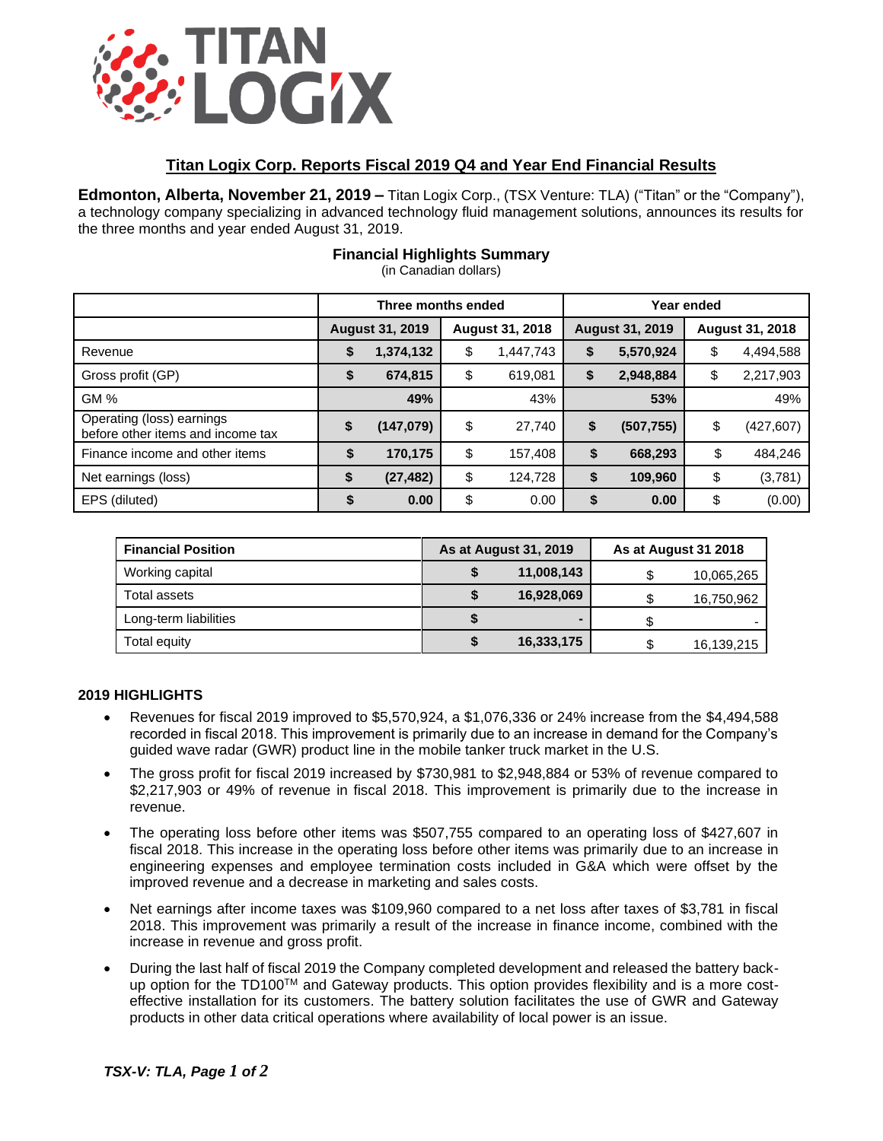

## **Titan Logix Corp. Reports Fiscal 2019 Q4 and Year End Financial Results**

**Edmonton, Alberta, November 21, 2019 –** Titan Logix Corp., (TSX Venture: TLA) ("Titan" or the "Company"), a technology company specializing in advanced technology fluid management solutions, announces its results for the three months and year ended August 31, 2019.

|                                                                | Three months ended     |           |                        |           | Year ended             |            |                        |            |
|----------------------------------------------------------------|------------------------|-----------|------------------------|-----------|------------------------|------------|------------------------|------------|
|                                                                | <b>August 31, 2019</b> |           | <b>August 31, 2018</b> |           | <b>August 31, 2019</b> |            | <b>August 31, 2018</b> |            |
| Revenue                                                        | \$                     | 1,374,132 | \$                     | 1,447,743 | \$                     | 5,570,924  | \$                     | 4,494,588  |
| Gross profit (GP)                                              | \$                     | 674,815   | \$                     | 619,081   | \$                     | 2,948,884  | \$                     | 2,217,903  |
| GM %                                                           |                        | 49%       |                        | 43%       |                        | 53%        |                        | 49%        |
| Operating (loss) earnings<br>before other items and income tax | \$                     | (147,079) | \$                     | 27,740    | \$                     | (507, 755) | \$                     | (427, 607) |
| Finance income and other items                                 | \$                     | 170,175   | \$                     | 157,408   | \$                     | 668,293    | \$                     | 484,246    |
| Net earnings (loss)                                            | \$                     | (27, 482) | \$                     | 124,728   | \$                     | 109,960    | \$                     | (3,781)    |
| EPS (diluted)                                                  | \$                     | 0.00      | \$                     | 0.00      | \$                     | 0.00       | \$                     | (0.00)     |

# **Financial Highlights Summary**

(in Canadian dollars)

| <b>Financial Position</b> | As at August 31, 2019 | <b>As at August 31 2018</b> |            |  |
|---------------------------|-----------------------|-----------------------------|------------|--|
| Working capital           | 11,008,143            |                             | 10,065,265 |  |
| Total assets              | 16,928,069            |                             | 16,750,962 |  |
| Long-term liabilities     | -                     |                             |            |  |
| Total equity              | 16,333,175            |                             | 16,139,215 |  |

### **2019 HIGHLIGHTS**

- Revenues for fiscal 2019 improved to \$5,570,924, a \$1,076,336 or 24% increase from the \$4,494,588 recorded in fiscal 2018. This improvement is primarily due to an increase in demand for the Company's guided wave radar (GWR) product line in the mobile tanker truck market in the U.S.
- The gross profit for fiscal 2019 increased by \$730,981 to \$2,948,884 or 53% of revenue compared to \$2,217,903 or 49% of revenue in fiscal 2018. This improvement is primarily due to the increase in revenue.
- The operating loss before other items was \$507,755 compared to an operating loss of \$427,607 in fiscal 2018. This increase in the operating loss before other items was primarily due to an increase in engineering expenses and employee termination costs included in G&A which were offset by the improved revenue and a decrease in marketing and sales costs.
- Net earnings after income taxes was \$109,960 compared to a net loss after taxes of \$3,781 in fiscal 2018. This improvement was primarily a result of the increase in finance income, combined with the increase in revenue and gross profit.
- During the last half of fiscal 2019 the Company completed development and released the battery backup option for the TD100<sup>TM</sup> and Gateway products. This option provides flexibility and is a more costeffective installation for its customers. The battery solution facilitates the use of GWR and Gateway products in other data critical operations where availability of local power is an issue.